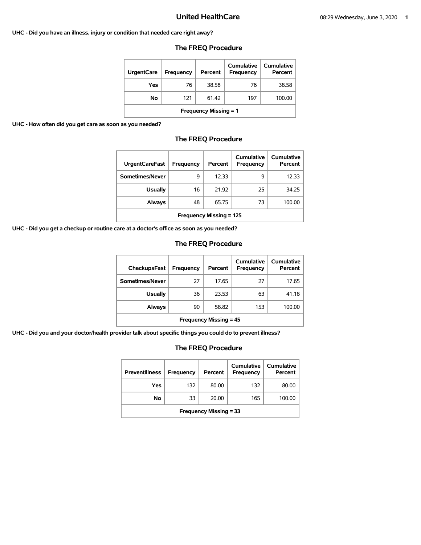### **UHC - Did you have an illness, injury or condition that needed care right away?**

| UrgentCare | Frequency | Percent | Cumulative<br>Frequency | <b>Cumulative</b><br>Percent |
|------------|-----------|---------|-------------------------|------------------------------|
| Yes        | 76        | 38.58   | 76                      | 38.58                        |
| No         | 121       | 61.42   | 197                     | 100.00                       |
|            |           |         |                         |                              |

# **The FREQ Procedure**

**Frequency Missing = 1** 

**UHC - How often did you get care as soon as you needed?** 

# **The FREQ Procedure**

| <b>UrgentCareFast</b>          | Frequency | Percent | Cumulative<br><b>Frequency</b> | Cumulative<br>Percent |  |
|--------------------------------|-----------|---------|--------------------------------|-----------------------|--|
| Sometimes/Never                | 9         | 12.33   | 9                              | 12.33                 |  |
| <b>Usually</b>                 | 16        | 21.92   | 25                             | 34.25                 |  |
| <b>Always</b>                  | 48        | 65.75   | 73                             | 100.00                |  |
| <b>Frequency Missing = 125</b> |           |         |                                |                       |  |

**UHC - Did you get a checkup or routine care at a doctor's office as soon as you needed?** 

# **The FREQ Procedure**

| <b>CheckupsFast</b>           | Frequency | Percent | Cumulative<br>Frequency | Cumulative<br>Percent |
|-------------------------------|-----------|---------|-------------------------|-----------------------|
| Sometimes/Never               | 27        | 17.65   | 27                      | 17.65                 |
| <b>Usually</b>                | 36        | 23.53   | 63                      | 41.18                 |
| <b>Always</b>                 | 90        | 58.82   | 153                     | 100.00                |
| <b>Frequency Missing = 45</b> |           |         |                         |                       |

**UHC - Did you and your doctor/health provider talk about specific things you could do to prevent illness?** 

| <b>Preventillness</b>         | <b>Frequency</b> | Percent | Cumulative<br><b>Frequency</b> | Cumulative<br>Percent |
|-------------------------------|------------------|---------|--------------------------------|-----------------------|
| Yes                           | 132              | 80.00   | 132                            | 80.00                 |
| No                            | 33               | 20.00   | 165                            | 100.00                |
| <b>Frequency Missing = 33</b> |                  |         |                                |                       |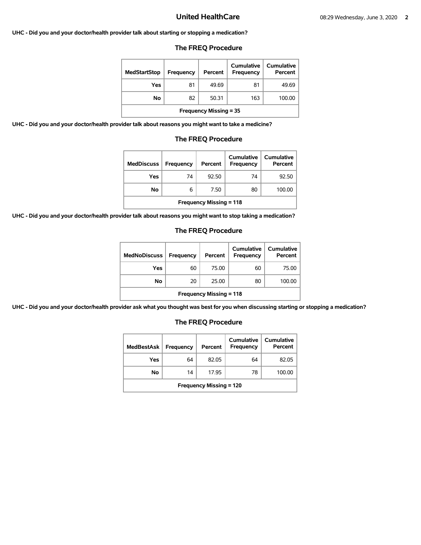**UHC - Did you and your doctor/health provider talk about starting or stopping a medication?** 

# **The FREQ Procedure**

| <b>MedStartStop</b>           | Frequency | Percent | Cumulative<br>Frequency | Cumulative<br>Percent |
|-------------------------------|-----------|---------|-------------------------|-----------------------|
| Yes                           | 81        | 49.69   | 81                      | 49.69                 |
| No.                           | 82        | 50.31   | 163                     | 100.00                |
| <b>Frequency Missing = 35</b> |           |         |                         |                       |

**UHC - Did you and your doctor/health provider talk about reasons you might want to take a medicine?** 

# **The FREQ Procedure**

| <b>MedDiscuss</b>              | Frequency | Percent | Cumulative<br>Frequency | Cumulative<br>Percent |  |
|--------------------------------|-----------|---------|-------------------------|-----------------------|--|
| Yes                            | 74        | 92.50   | 74                      | 92.50                 |  |
| No                             | 6         | 7.50    | 80                      | 100.00                |  |
| <b>Frequency Missing = 118</b> |           |         |                         |                       |  |

**UHC - Did you and your doctor/health provider talk about reasons you might want to stop taking a medication?** 

# **The FREQ Procedure**

| <b>MedNoDiscuss</b>            | Frequency | Percent | <b>Cumulative</b><br>Frequency | <b>Cumulative</b><br>Percent |
|--------------------------------|-----------|---------|--------------------------------|------------------------------|
| Yes                            | 60        | 75.00   | 60                             | 75.00                        |
| No                             | 20        | 25.00   | 80                             | 100.00                       |
| <b>Frequency Missing = 118</b> |           |         |                                |                              |

**UHC - Did you and your doctor/health provider ask what you thought was best for you when discussing starting or stopping a medication?** 

| <b>MedBestAsk</b>              | Frequency | Percent | Cumulative<br><b>Frequency</b> | Cumulative<br>Percent |
|--------------------------------|-----------|---------|--------------------------------|-----------------------|
| Yes                            | 64        | 82.05   | 64                             | 82.05                 |
| No                             | 14        | 17.95   | 78                             | 100.00                |
| <b>Frequency Missing = 120</b> |           |         |                                |                       |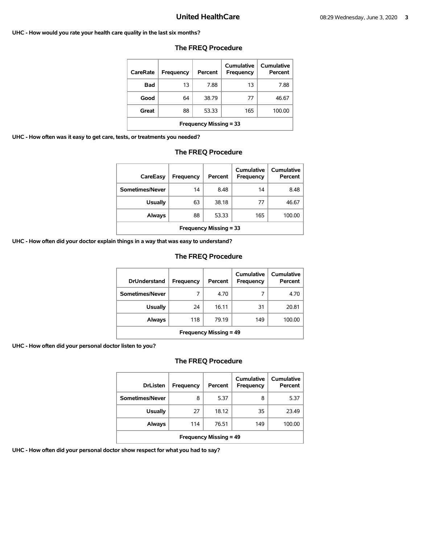### **UHC - How would you rate your health care quality in the last six months?**

| CareRate                      | Frequency | Percent | Cumulative<br>Frequency | Cumulative<br>Percent |  |
|-------------------------------|-----------|---------|-------------------------|-----------------------|--|
| <b>Bad</b>                    | 13        | 7.88    | 13                      | 7.88                  |  |
| Good                          | 64        | 38.79   | 77                      | 46.67                 |  |
| Great                         | 88        | 53.33   | 165                     | 100.00                |  |
| <b>Frequency Missing = 33</b> |           |         |                         |                       |  |

# **The FREQ Procedure**

**UHC - How often was it easy to get care, tests, or treatments you needed?** 

# **The FREQ Procedure**

| CareEasy                      | Frequency | Percent | Cumulative<br>Frequency | Cumulative<br>Percent |
|-------------------------------|-----------|---------|-------------------------|-----------------------|
| Sometimes/Never               | 14        | 8.48    | 14                      | 8.48                  |
| <b>Usually</b>                | 63        | 38.18   | 77                      | 46.67                 |
| Always                        | 88        | 53.33   | 165                     | 100.00                |
| <b>Frequency Missing = 33</b> |           |         |                         |                       |

**UHC - How often did your doctor explain things in a way that was easy to understand?** 

# **The FREQ Procedure**

| <b>DrUnderstand</b>           | Frequency | Percent | Cumulative<br>Frequency | Cumulative<br>Percent |  |
|-------------------------------|-----------|---------|-------------------------|-----------------------|--|
| Sometimes/Never               | 7         | 4.70    |                         | 4.70                  |  |
| <b>Usually</b>                | 24        | 16.11   | 31                      | 20.81                 |  |
| Always                        | 118       | 79.19   | 149                     | 100.00                |  |
| <b>Frequency Missing = 49</b> |           |         |                         |                       |  |

**UHC - How often did your personal doctor listen to you?** 

# **The FREQ Procedure**

| <b>DrListen</b>               | Frequency | Percent | Cumulative<br>Frequency | Cumulative<br>Percent |  |
|-------------------------------|-----------|---------|-------------------------|-----------------------|--|
| Sometimes/Never               | 8         | 5.37    | 8                       | 5.37                  |  |
| <b>Usually</b>                | 27        | 18.12   | 35                      | 23.49                 |  |
| <b>Always</b>                 | 114       | 76.51   | 149                     | 100.00                |  |
| <b>Frequency Missing = 49</b> |           |         |                         |                       |  |

**UHC - How often did your personal doctor show respect for what you had to say?**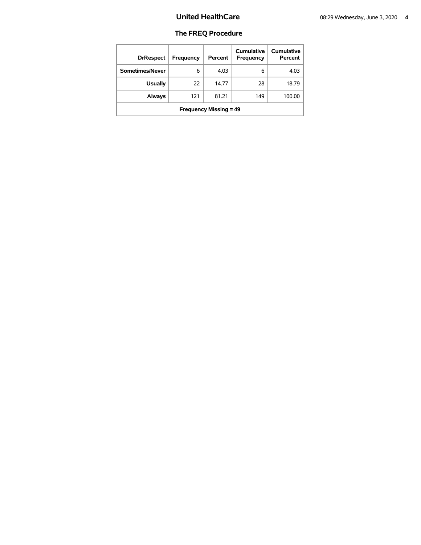| <b>DrRespect</b>              | Frequency | Percent | Cumulative<br>Frequency | <b>Cumulative</b><br>Percent |  |
|-------------------------------|-----------|---------|-------------------------|------------------------------|--|
| Sometimes/Never               | 6         | 4.03    | 6                       | 4.03                         |  |
| <b>Usually</b>                | 22        | 14.77   | 28                      | 18.79                        |  |
| Always                        | 121       | 81.21   | 149                     | 100.00                       |  |
| <b>Frequency Missing = 49</b> |           |         |                         |                              |  |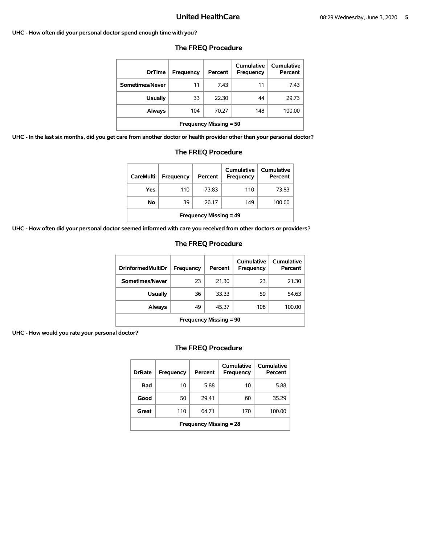### **UHC - How often did your personal doctor spend enough time with you?**

| <b>DrTime</b>                 | Frequency | Percent | Cumulative<br><b>Frequency</b> | Cumulative<br>Percent |  |
|-------------------------------|-----------|---------|--------------------------------|-----------------------|--|
| Sometimes/Never               | 11        | 7.43    | 11                             | 7.43                  |  |
| <b>Usually</b>                | 33        | 22.30   | 44                             | 29.73                 |  |
| Always                        | 104       | 70.27   | 148                            | 100.00                |  |
| <b>Frequency Missing = 50</b> |           |         |                                |                       |  |

# **The FREQ Procedure**

**UHC - In the last six months, did you get care from another doctor or health provider other than your personal doctor?** 

| Always                                                               |           | 104 | 70.27   |  |                                | 148 | 100.00                       |  |
|----------------------------------------------------------------------|-----------|-----|---------|--|--------------------------------|-----|------------------------------|--|
| <b>Frequency Missing = 50</b>                                        |           |     |         |  |                                |     |                              |  |
| e from another doctor or health provider other than your personal do |           |     |         |  |                                |     |                              |  |
| <b>The FREQ Procedure</b>                                            |           |     |         |  |                                |     |                              |  |
| <b>CareMulti</b>                                                     | Frequency |     | Percent |  | <b>Cumulative</b><br>Frequency |     | <b>Cumulative</b><br>Percent |  |

| CareMulti                     | <b>Frequency</b> | Percent | Cumulative<br><b>Frequency</b> | Cumulative<br>Percent |  |
|-------------------------------|------------------|---------|--------------------------------|-----------------------|--|
| Yes                           | 110              | 73.83   | 110                            | 73.83                 |  |
| No                            | 39               | 26.17   | 149                            | 100.00                |  |
| <b>Frequency Missing = 49</b> |                  |         |                                |                       |  |

**UHC - How often did your personal doctor seemed informed with care you received from other doctors or providers?** 

# **The FREQ Procedure**

| <b>DrInformedMultiDr</b>      | <b>Frequency</b> | Percent | Cumulative<br>Frequency | Cumulative<br>Percent |  |
|-------------------------------|------------------|---------|-------------------------|-----------------------|--|
| Sometimes/Never               | 23               | 21.30   | 23                      | 21.30                 |  |
| Usually                       | 36               | 33.33   | 59                      | 54.63                 |  |
| Always                        | 49               | 45.37   | 108                     | 100.00                |  |
| <b>Frequency Missing = 90</b> |                  |         |                         |                       |  |

**UHC - How would you rate your personal doctor?** 

| <b>DrRate</b>                 | Frequency | Percent | Cumulative<br>Frequency | Cumulative<br>Percent |  |  |
|-------------------------------|-----------|---------|-------------------------|-----------------------|--|--|
| Bad                           | 10        | 5.88    | 10                      | 5.88                  |  |  |
| Good                          | 50        | 29.41   | 60                      | 35.29                 |  |  |
| Great                         | 110       | 64.71   | 170                     | 100.00                |  |  |
| <b>Frequency Missing = 28</b> |           |         |                         |                       |  |  |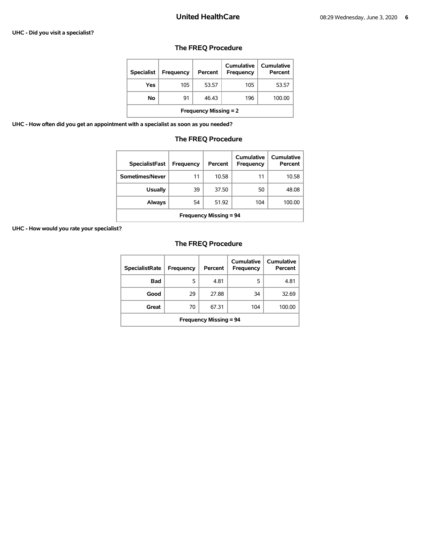### **UHC - Did you visit a specialist?**

# **The FREQ Procedure**

| <b>Specialist</b>            | Frequency | Percent | Cumulative<br><b>Frequency</b> | Cumulative<br>Percent |  |
|------------------------------|-----------|---------|--------------------------------|-----------------------|--|
| Yes                          | 105       | 53.57   | 105                            | 53.57                 |  |
| No                           | 91        | 46.43   | 196                            | 100.00                |  |
| <b>Frequency Missing = 2</b> |           |         |                                |                       |  |

**UHC - How often did you get an appointment with a specialist as soon as you needed?** 

# **The FREQ Procedure**

| <b>SpecialistFast</b>         | Frequency | Percent | Cumulative<br>Frequency | Cumulative<br>Percent |  |  |
|-------------------------------|-----------|---------|-------------------------|-----------------------|--|--|
| Sometimes/Never               | 11        | 10.58   | 11                      | 10.58                 |  |  |
| <b>Usually</b>                | 39        | 37.50   | 50                      | 48.08                 |  |  |
| Always                        | 54        | 51.92   | 104                     | 100.00                |  |  |
| <b>Frequency Missing = 94</b> |           |         |                         |                       |  |  |

**UHC - How would you rate your specialist?** 

| <b>SpecialistRate</b>         | Frequency | Percent | Cumulative<br><b>Frequency</b> | Cumulative<br>Percent |  |  |
|-------------------------------|-----------|---------|--------------------------------|-----------------------|--|--|
| <b>Bad</b>                    | 5         | 4.81    | 5                              | 4.81                  |  |  |
| Good                          | 29        | 27.88   | 34                             | 32.69                 |  |  |
| Great                         | 70        | 67.31   | 104                            | 100.00                |  |  |
| <b>Frequency Missing = 94</b> |           |         |                                |                       |  |  |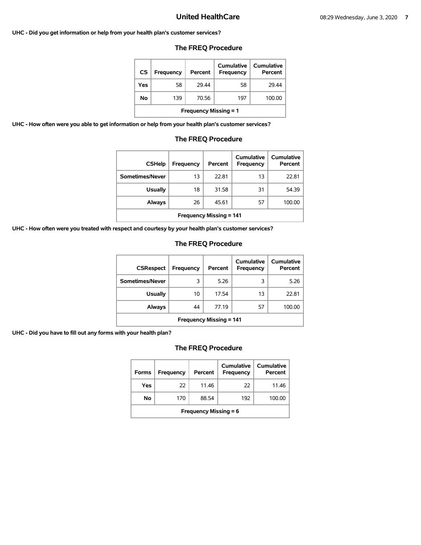### **UHC - Did you get information or help from your health plan's customer services?**

# **The FREQ Procedure**

| CS                           | Frequency | Percent | Cumulative<br>Frequency | <b>Cumulative</b><br>Percent |  |  |
|------------------------------|-----------|---------|-------------------------|------------------------------|--|--|
| Yes                          | 58        | 29.44   | 58                      | 29.44                        |  |  |
| No                           | 139       | 70.56   | 197                     | 100.00                       |  |  |
| <b>Frequency Missing = 1</b> |           |         |                         |                              |  |  |

**UHC - How often were you able to get information or help from your health plan's customer services?** 

# **The FREQ Procedure**

| <b>CSHelp</b>                  | Frequency | Percent | Cumulative<br><b>Frequency</b> | Cumulative<br>Percent |  |
|--------------------------------|-----------|---------|--------------------------------|-----------------------|--|
| Sometimes/Never                | 13        | 22.81   | 13                             | 22.81                 |  |
| <b>Usually</b>                 | 18        | 31.58   | 31                             | 54.39                 |  |
| <b>Always</b>                  | 26        | 45.61   | 57                             | 100.00                |  |
| <b>Frequency Missing = 141</b> |           |         |                                |                       |  |

**UHC - How often were you treated with respect and courtesy by your health plan's customer services?** 

# **The FREQ Procedure**

| <b>CSRespect</b>               | Frequency | Percent | <b>Cumulative</b><br>Frequency | Cumulative<br>Percent |  |  |
|--------------------------------|-----------|---------|--------------------------------|-----------------------|--|--|
| Sometimes/Never                | 3         | 5.26    | 3                              | 5.26                  |  |  |
| <b>Usually</b>                 | 10        | 17.54   | 13                             | 22.81                 |  |  |
| Always                         | 44        | 77.19   | 57                             | 100.00                |  |  |
| <b>Frequency Missing = 141</b> |           |         |                                |                       |  |  |

**UHC - Did you have to fill out any forms with your health plan?** 

| <b>Forms</b>                 | Frequency | Percent | Cumulative<br>Frequency | Cumulative<br>Percent |  |
|------------------------------|-----------|---------|-------------------------|-----------------------|--|
| Yes                          | 22        | 11.46   | 22                      | 11.46                 |  |
| No.                          | 170       | 88.54   | 192                     | 100.00                |  |
| <b>Frequency Missing = 6</b> |           |         |                         |                       |  |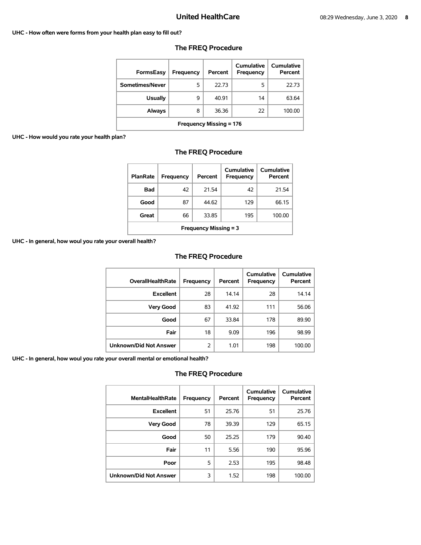### **UHC - How often were forms from your health plan easy to fill out?**

| FormsEasy                      | Frequency | Percent | Cumulative<br>Frequency | Cumulative<br>Percent |  |
|--------------------------------|-----------|---------|-------------------------|-----------------------|--|
| Sometimes/Never                | 5         | 22.73   | 5                       | 22.73                 |  |
| <b>Usually</b>                 | 9         | 40.91   | 14                      | 63.64                 |  |
| <b>Always</b>                  | 8         | 36.36   | 22                      | 100.00                |  |
| <b>Frequency Missing = 176</b> |           |         |                         |                       |  |

# **The FREQ Procedure**

# **UHC - How would you rate your health plan?**

# **The FREQ Procedure**

| <b>PlanRate</b>              | Frequency | Percent | Cumulative<br>Frequency | Cumulative<br>Percent |  |
|------------------------------|-----------|---------|-------------------------|-----------------------|--|
| Bad                          | 42        | 21.54   | 42                      | 21.54                 |  |
| Good                         | 87        | 44.62   | 129                     | 66.15                 |  |
| Great                        | 66        | 33.85   | 195                     | 100.00                |  |
| <b>Frequency Missing = 3</b> |           |         |                         |                       |  |

**UHC - In general, how woul you rate your overall health?** 

# **The FREQ Procedure**

| <b>OverallHealthRate</b>      | <b>Frequency</b> | Percent | <b>Cumulative</b><br>Frequency | <b>Cumulative</b><br>Percent |
|-------------------------------|------------------|---------|--------------------------------|------------------------------|
| <b>Excellent</b>              | 28               | 14.14   | 28                             | 14.14                        |
| <b>Very Good</b>              | 83               | 41.92   | 111                            | 56.06                        |
| Good                          | 67               | 33.84   | 178                            | 89.90                        |
| Fair                          | 18               | 9.09    | 196                            | 98.99                        |
| <b>Unknown/Did Not Answer</b> | 2                | 1.01    | 198                            | 100.00                       |

**UHC - In general, how woul you rate your overall mental or emotional health?** 

| <b>MentalHealthRate</b>       | <b>Frequency</b> | Percent | Cumulative<br><b>Frequency</b> | <b>Cumulative</b><br>Percent |
|-------------------------------|------------------|---------|--------------------------------|------------------------------|
| <b>Excellent</b>              | 51               | 25.76   | 51                             | 25.76                        |
| <b>Very Good</b>              | 78               | 39.39   | 129                            | 65.15                        |
| Good                          | 50               | 25.25   | 179                            | 90.40                        |
| Fair                          | 11               | 5.56    | 190                            | 95.96                        |
| Poor                          | 5                | 2.53    | 195                            | 98.48                        |
| <b>Unknown/Did Not Answer</b> | 3                | 1.52    | 198                            | 100.00                       |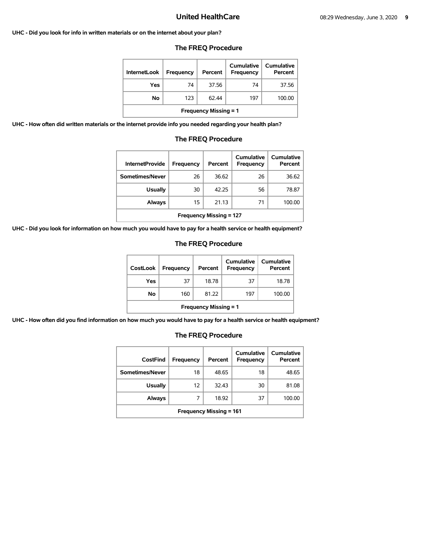### **UHC - Did you look for info in written materials or on the internet about your plan?**

| <b>InternetLook</b>          | Frequency | Percent | Cumulative<br>Frequency | Cumulative<br>Percent |  |
|------------------------------|-----------|---------|-------------------------|-----------------------|--|
| Yes                          | 74        | 37.56   | 74                      | 37.56                 |  |
| No                           | 123       | 62.44   | 197                     | 100.00                |  |
| <b>Frequency Missing = 1</b> |           |         |                         |                       |  |

### **The FREQ Procedure**

**UHC - How often did written materials or the internet provide info you needed regarding your health plan?** 

| <b>InternetProvide</b>         | Frequency | Percent | Cumulative<br>Frequency | Cumulative<br>Percent |  |
|--------------------------------|-----------|---------|-------------------------|-----------------------|--|
| Sometimes/Never                | 26        | 36.62   | 26                      | 36.62                 |  |
| <b>Usually</b>                 | 30        | 42.25   | 56                      | 78.87                 |  |
| Always                         | 15        | 21.13   | 71                      | 100.00                |  |
| <b>Frequency Missing = 127</b> |           |         |                         |                       |  |

# **The FREQ Procedure**

**UHC - Did you look for information on how much you would have to pay for a health service or health equipment?** 

# **The FREQ Procedure**

| <b>CostLook</b>              | Frequency | Percent | Cumulative<br><b>Frequency</b> | <b>Cumulative</b><br>Percent |  |
|------------------------------|-----------|---------|--------------------------------|------------------------------|--|
| Yes                          | 37        | 18.78   | 37                             | 18.78                        |  |
| Νo                           | 160       | 81.22   | 197                            | 100.00                       |  |
| <b>Frequency Missing = 1</b> |           |         |                                |                              |  |

**UHC - How often did you find information on how much you would have to pay for a health service or health equipment?** 

| CostFind                       | Frequency | Percent | Cumulative<br>Frequency | Cumulative<br>Percent |  |
|--------------------------------|-----------|---------|-------------------------|-----------------------|--|
| Sometimes/Never                | 18        | 48.65   | 18                      | 48.65                 |  |
| <b>Usually</b>                 | 12        | 32.43   | 30                      | 81.08                 |  |
| <b>Always</b>                  | 7         | 18.92   | 37                      | 100.00                |  |
| <b>Frequency Missing = 161</b> |           |         |                         |                       |  |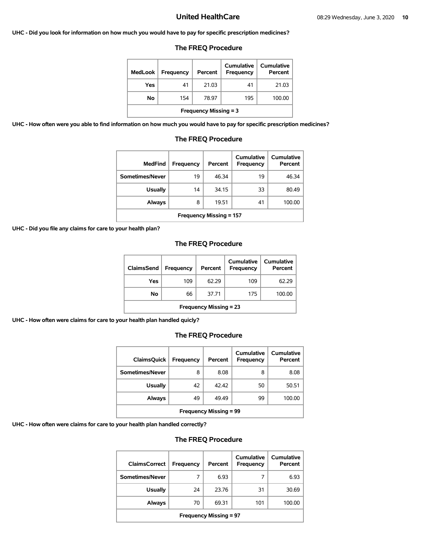### **UHC - Did you look for information on how much you would have to pay for specific prescription medicines?**

# **The FREQ Procedure**

| <b>MedLook</b>               | Frequency | Percent | Cumulative<br>Frequency | Cumulative<br>Percent |  |
|------------------------------|-----------|---------|-------------------------|-----------------------|--|
| Yes                          | 41        | 21.03   | 41                      | 21.03                 |  |
| Νo                           | 154       | 78.97   | 195                     | 100.00                |  |
| <b>Frequency Missing = 3</b> |           |         |                         |                       |  |

**UHC - How often were you able to find information on how much you would have to pay for specific prescription medicines?** 

# **The FREQ Procedure**

| <b>MedFind</b>                 | Frequency | Percent | <b>Cumulative</b><br>Frequency | Cumulative<br>Percent |  |
|--------------------------------|-----------|---------|--------------------------------|-----------------------|--|
| Sometimes/Never                | 19        | 46.34   | 19                             | 46.34                 |  |
| <b>Usually</b>                 | 14        | 34.15   | 33                             | 80.49                 |  |
| <b>Always</b>                  | 8         | 19.51   | 41                             | 100.00                |  |
| <b>Frequency Missing = 157</b> |           |         |                                |                       |  |

**UHC - Did you file any claims for care to your health plan?** 

# **The FREQ Procedure**

| ClaimsSend                    | <b>Frequency</b> | Percent | Cumulative<br>Frequency | <b>Cumulative</b><br>Percent |  |
|-------------------------------|------------------|---------|-------------------------|------------------------------|--|
| Yes                           | 109              | 62.29   | 109                     | 62.29                        |  |
| No                            | 66               | 37.71   | 175                     | 100.00                       |  |
| <b>Frequency Missing = 23</b> |                  |         |                         |                              |  |

**UHC - How often were claims for care to your health plan handled quicly?** 

# **The FREQ Procedure**

| <b>ClaimsQuick</b>            | Frequency | Percent | Cumulative<br>Frequency | Cumulative<br>Percent |  |
|-------------------------------|-----------|---------|-------------------------|-----------------------|--|
| Sometimes/Never               | 8         | 8.08    | 8                       | 8.08                  |  |
| <b>Usually</b>                | 42        | 42.42   | 50                      | 50.51                 |  |
| Always                        | 49        | 49.49   | 99                      | 100.00                |  |
| <b>Frequency Missing = 99</b> |           |         |                         |                       |  |

**UHC - How often were claims for care to your health plan handled correctly?** 

| <b>ClaimsCorrect</b>          | Frequency | Percent | Cumulative<br>Frequency | Cumulative<br>Percent |  |
|-------------------------------|-----------|---------|-------------------------|-----------------------|--|
| Sometimes/Never               | 7         | 6.93    |                         | 6.93                  |  |
| <b>Usually</b>                | 24        | 23.76   | 31                      | 30.69                 |  |
| <b>Always</b>                 | 70        | 69.31   | 101                     | 100.00                |  |
| <b>Frequency Missing = 97</b> |           |         |                         |                       |  |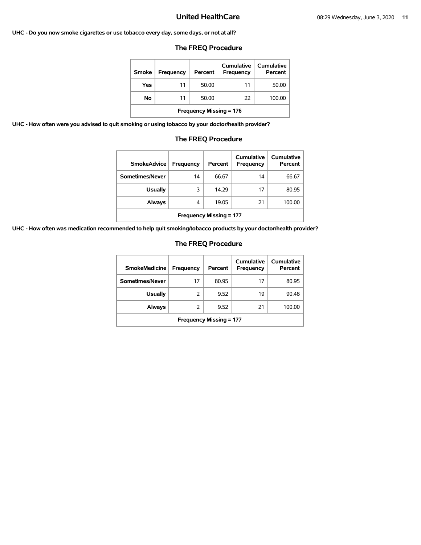### **UHC - Do you now smoke cigarettes or use tobacco every day, some days, or not at all?**

# **The FREQ Procedure**

| Smoke                          | <b>Frequency</b> | Percent | Cumulative<br>Frequency | Cumulative<br>Percent |  |
|--------------------------------|------------------|---------|-------------------------|-----------------------|--|
| Yes                            | 11               | 50.00   | 11                      | 50.00                 |  |
| No                             | 11               | 50.00   | 22                      | 100.00                |  |
| <b>Frequency Missing = 176</b> |                  |         |                         |                       |  |

**UHC - How often were you advised to quit smoking or using tobacco by your doctor/health provider?** 

# **The FREQ Procedure**

| <b>SmokeAdvice</b>             | Frequency | Percent | Cumulative<br>Frequency | Cumulative<br>Percent |  |
|--------------------------------|-----------|---------|-------------------------|-----------------------|--|
| Sometimes/Never                | 14        | 66.67   | 14                      | 66.67                 |  |
| <b>Usually</b>                 | 3         | 14.29   | 17                      | 80.95                 |  |
| Always                         | 4         | 19.05   | 21                      | 100.00                |  |
| <b>Frequency Missing = 177</b> |           |         |                         |                       |  |

**UHC - How often was medication recommended to help quit smoking/tobacco products by your doctor/health provider?** 

| <b>SmokeMedicine</b>           | Frequency | Percent | Cumulative<br>Frequency | Cumulative<br>Percent |  |
|--------------------------------|-----------|---------|-------------------------|-----------------------|--|
| Sometimes/Never                | 17        | 80.95   | 17                      | 80.95                 |  |
| <b>Usually</b>                 | 2         | 9.52    | 19                      | 90.48                 |  |
| <b>Always</b>                  | 2         | 9.52    | 21                      | 100.00                |  |
| <b>Frequency Missing = 177</b> |           |         |                         |                       |  |